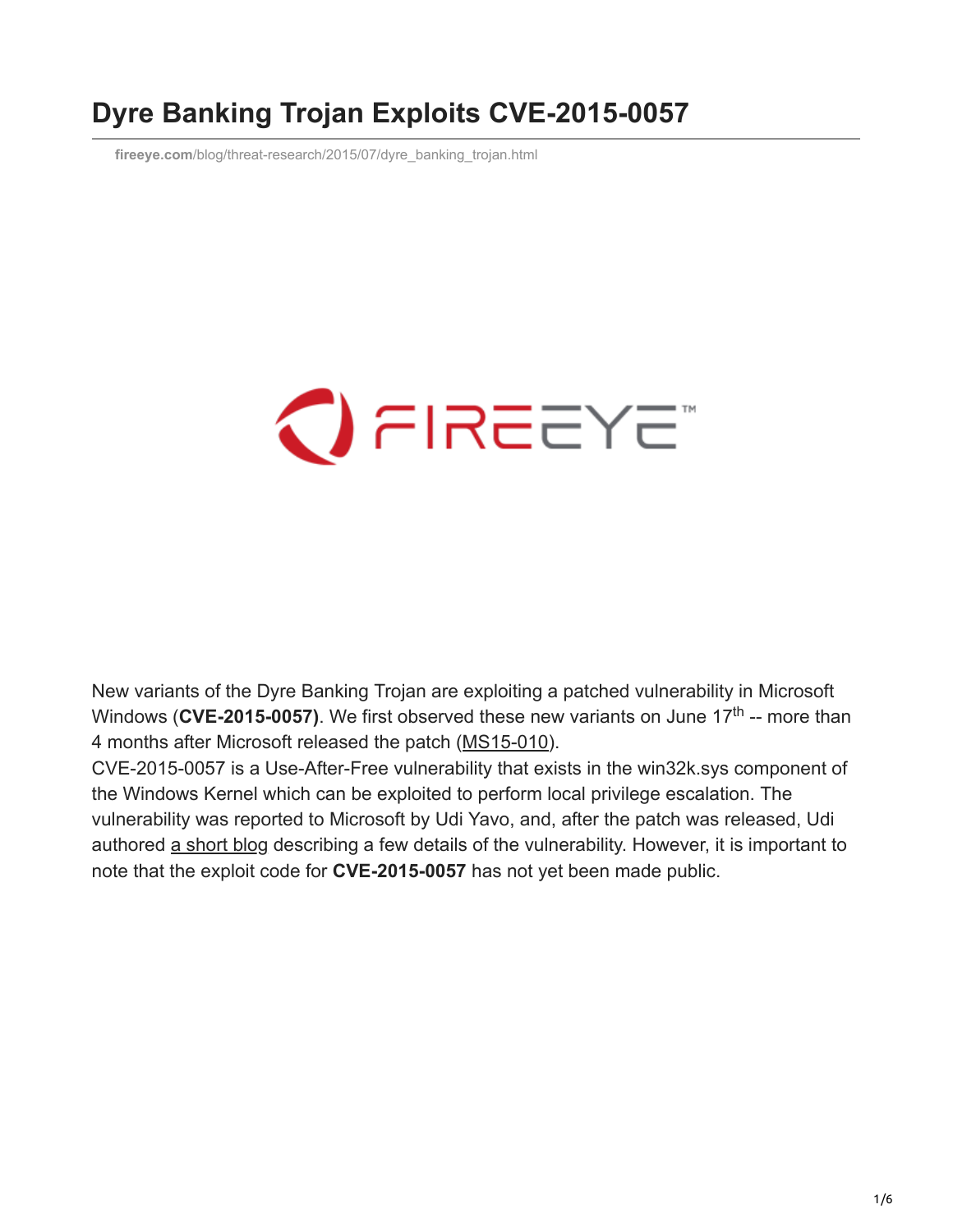## **Dyre Banking Trojan Exploits CVE-2015-0057**

**fireeye.com**[/blog/threat-research/2015/07/dyre\\_banking\\_trojan.html](https://www.fireeye.com/blog/threat-research/2015/07/dyre_banking_trojan.html)

# $\bigcirc$  FIREEYE

New variants of the Dyre Banking Trojan are exploiting a patched vulnerability in Microsoft Windows (CVE-2015-0057). We first observed these new variants on June 17<sup>th</sup> -- more than 4 months after Microsoft released the patch ([MS15-010](https://technet.microsoft.com/en-us/library/security/ms15-010.aspx)).

CVE-2015-0057 is a Use-After-Free vulnerability that exists in the win32k.sys component of the Windows Kernel which can be exploited to perform local privilege escalation. The vulnerability was reported to Microsoft by Udi Yavo, and, after the patch was released, Udi authored [a short blog](http://breakingmalware.com/vulnerabilities/one-bit-rule-bypassing-windows-10-protections-using-single-bit/) describing a few details of the vulnerability. However, it is important to note that the exploit code for **CVE-2015-0057** has not yet been made public.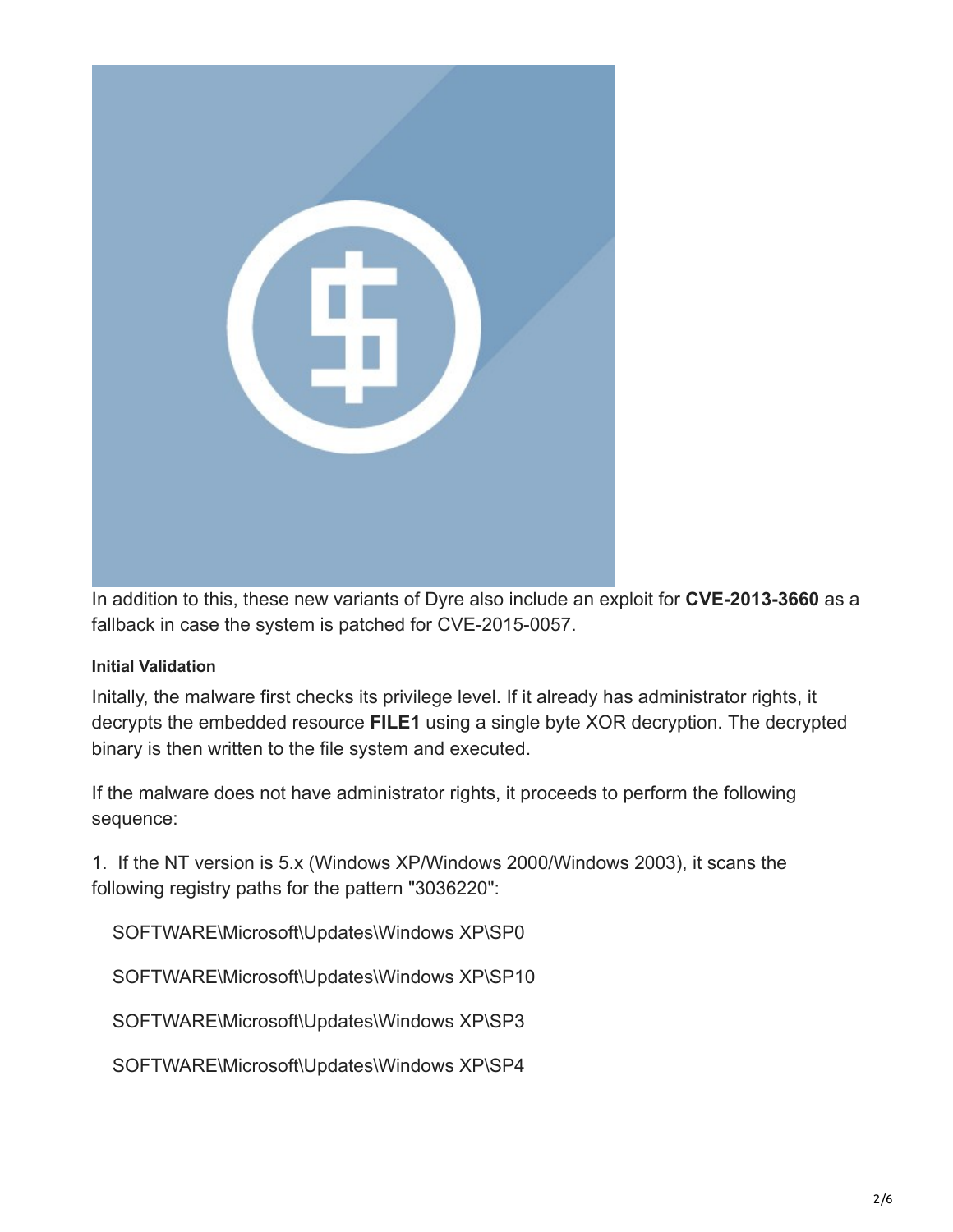

In addition to this, these new variants of Dyre also include an exploit for **CVE-2013-3660** as a fallback in case the system is patched for CVE-2015-0057.

#### **Initial Validation**

Initally, the malware first checks its privilege level. If it already has administrator rights, it decrypts the embedded resource **FILE1** using a single byte XOR decryption. The decrypted binary is then written to the file system and executed.

If the malware does not have administrator rights, it proceeds to perform the following sequence:

1. If the NT version is 5.x (Windows XP/Windows 2000/Windows 2003), it scans the following registry paths for the pattern "3036220":

SOFTWARE\Microsoft\Updates\Windows XP\SP0

SOFTWARE\Microsoft\Updates\Windows XP\SP10

SOFTWARE\Microsoft\Updates\Windows XP\SP3

SOFTWARE\Microsoft\Updates\Windows XP\SP4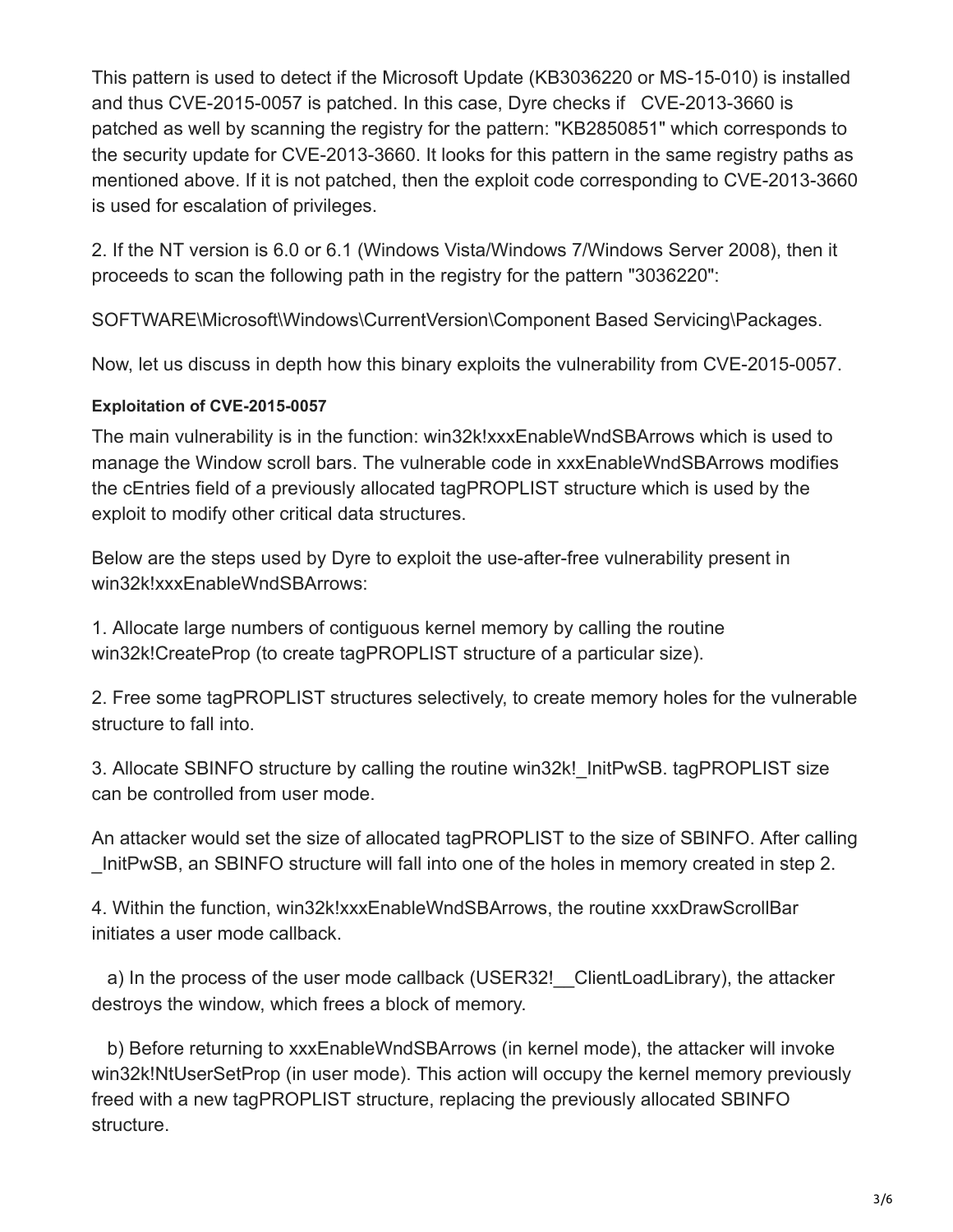This pattern is used to detect if the Microsoft Update (KB3036220 or MS-15-010) is installed and thus CVE-2015-0057 is patched. In this case, Dyre checks if CVE-2013-3660 is patched as well by scanning the registry for the pattern: "KB2850851" which corresponds to the security update for CVE-2013-3660. It looks for this pattern in the same registry paths as mentioned above. If it is not patched, then the exploit code corresponding to CVE-2013-3660 is used for escalation of privileges.

2. If the NT version is 6.0 or 6.1 (Windows Vista/Windows 7/Windows Server 2008), then it proceeds to scan the following path in the registry for the pattern "3036220":

SOFTWARE\Microsoft\Windows\CurrentVersion\Component Based Servicing\Packages.

Now, let us discuss in depth how this binary exploits the vulnerability from CVE-2015-0057.

#### **Exploitation of CVE-2015-0057**

The main vulnerability is in the function: win32k!xxxEnableWndSBArrows which is used to manage the Window scroll bars. The vulnerable code in xxxEnableWndSBArrows modifies the cEntries field of a previously allocated tagPROPLIST structure which is used by the exploit to modify other critical data structures.

Below are the steps used by Dyre to exploit the use-after-free vulnerability present in win32k!xxxEnableWndSBArrows:

1. Allocate large numbers of contiguous kernel memory by calling the routine win32k!CreateProp (to create tagPROPLIST structure of a particular size).

2. Free some tagPROPLIST structures selectively, to create memory holes for the vulnerable structure to fall into.

3. Allocate SBINFO structure by calling the routine win32k! InitPwSB. tagPROPLIST size can be controlled from user mode.

An attacker would set the size of allocated tagPROPLIST to the size of SBINFO. After calling InitPwSB, an SBINFO structure will fall into one of the holes in memory created in step 2.

4. Within the function, win32k!xxxEnableWndSBArrows, the routine xxxDrawScrollBar initiates a user mode callback.

a) In the process of the user mode callback (USER32! ClientLoadLibrary), the attacker destroys the window, which frees a block of memory.

 b) Before returning to xxxEnableWndSBArrows (in kernel mode), the attacker will invoke win32k!NtUserSetProp (in user mode). This action will occupy the kernel memory previously freed with a new tagPROPLIST structure, replacing the previously allocated SBINFO structure.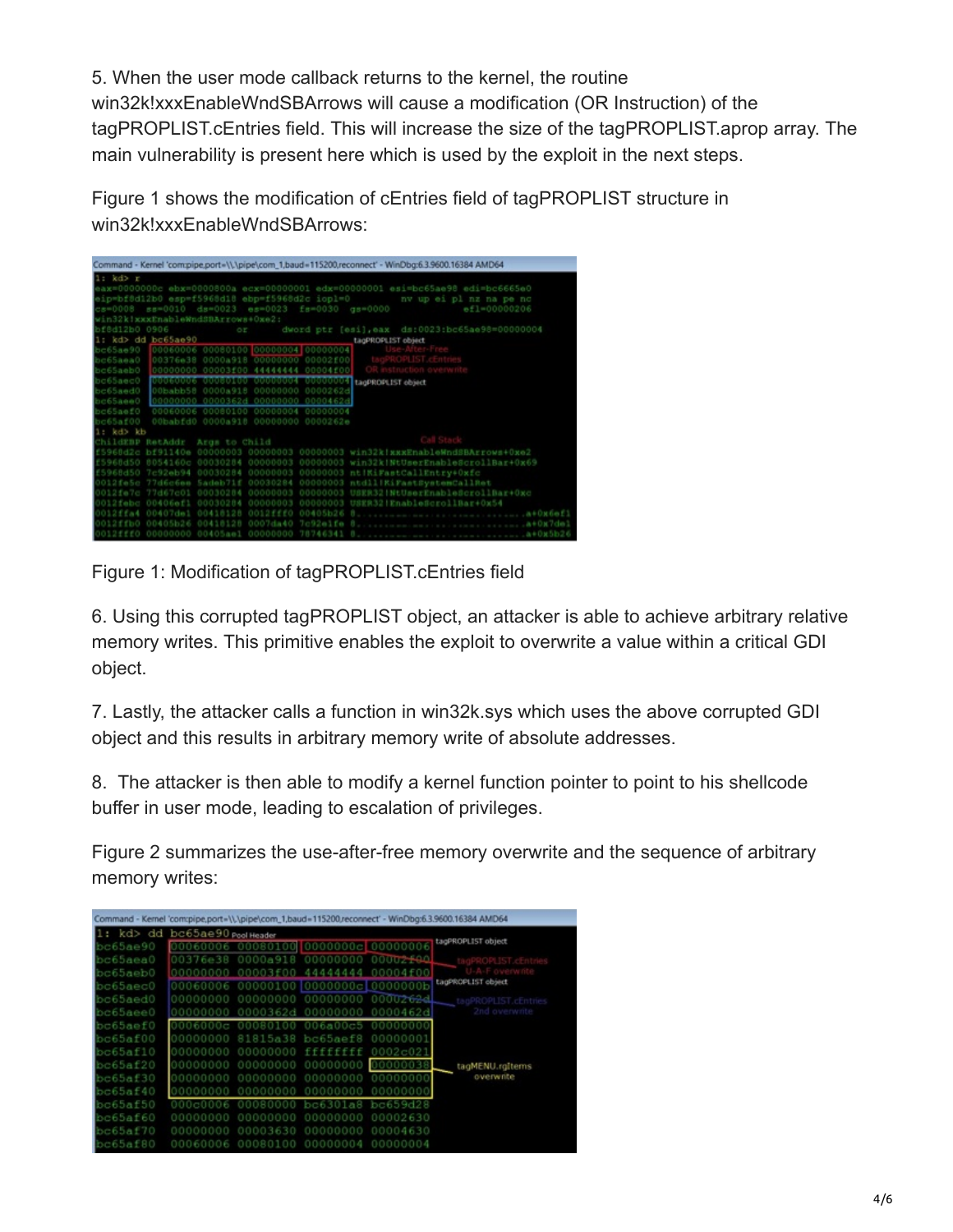5. When the user mode callback returns to the kernel, the routine win32k!xxxEnableWndSBArrows will cause a modification (OR Instruction) of the tagPROPLIST.cEntries field. This will increase the size of the tagPROPLIST.aprop array. The main vulnerability is present here which is used by the exploit in the next steps.

Figure 1 shows the modification of cEntries field of tagPROPLIST structure in win32k!xxxEnableWndSBArrows:

| Command - Kernel 'com:pipe.port=\\.\pipe\com_1,baud=115200,reconnect' - WinDbg:6.3.9600.16384 AMD64 |                         |
|-----------------------------------------------------------------------------------------------------|-------------------------|
| $1: kd r$                                                                                           |                         |
| eax=0000000c ebx=0000800a ecx=00000001 edx=00000001 esi=bc65ae98 edi=bc6665e0                       |                         |
| eip=bf8d12b0 esp=f5968d18 ebp=f5968d2c iopl=0                                                       | nv up ei pl nz na pe nc |
| cs=0008 ss=0010 ds=0023 es=0023 fs=0030 gs=0000                                                     | ef1=00000206            |
| win32k!xxxEnableWndSBArrows+Oxe2:                                                                   |                         |
| bf8d12b0 0906<br>or dword ptr [esi], eax ds:0023:bc65ae98=000000004                                 |                         |
| 1: kd> dd bc65ae90 tagPROFLIST object                                                               |                         |
| bc65ae90 00060006 00080100 00000004 00000004                                                        |                         |
| bc65aea0 00376e38 0000a918 00000000 00002f00                                                        |                         |
|                                                                                                     |                         |
| ho65aec0 000000006 00000100 00000004 000000004 tacPROPLIST object                                   |                         |
| bc65aed0 000babb58 0000a918 00000000 0000262d                                                       |                         |
| bc65aee0 000000000 0000362d 00000000 0000462d                                                       |                         |
| bc65aef0 00060006 00080100 00000004 00000004                                                        |                         |
| bc65af00 00babfd0 0000a918 00000000 0000262e                                                        |                         |
| 1: kd> kb                                                                                           |                         |
| ChildEBP RetAddr Args to Child                                                                      |                         |
| f5968d2c bf91140e 00000003 00000003 00000003 win32kfxxxEnableWndSBArrows+0xe2                       |                         |
| f5968d50 8054160c 00030284 00000003 00000003 win32k!NtUserEnableScrollBar+0x69                      |                         |
| FS968d50 7-92eb94 00030284 00000003 00000003 ntlKiFastCallEntry+0xfc                                |                         |
| 0012fe5c 77d6c6ee Sadeb71f 00030284 00000003 ntdll!RiFastSystemCallRet                              |                         |
| 0012fe7c 77d67c01 00030284 00000003 00000003 USER32 NtUserEnableScrollBar+0xc                       |                         |
| 0012febc 00406ef1 00030284 00000003 00000003 USER32!EnableScrollBar+0x54                            |                         |
|                                                                                                     |                         |
| 0012ffh0 00405h26 00418128                                                                          |                         |
|                                                                                                     |                         |

Figure 1: Modification of tagPROPLIST.cEntries field

6. Using this corrupted tagPROPLIST object, an attacker is able to achieve arbitrary relative memory writes. This primitive enables the exploit to overwrite a value within a critical GDI object.

7. Lastly, the attacker calls a function in win32k.sys which uses the above corrupted GDI object and this results in arbitrary memory write of absolute addresses.

8. The attacker is then able to modify a kernel function pointer to point to his shellcode buffer in user mode, leading to escalation of privileges.

Figure 2 summarizes the use-after-free memory overwrite and the sequence of arbitrary memory writes:

|                                |          |                                                  |           |          | Command - Kernel 'com:pipe,port=\\.\pipe\com_1,baud=115200,reconnect' - WinDbg:6.3.9600.16384 AMD64 |
|--------------------------------|----------|--------------------------------------------------|-----------|----------|-----------------------------------------------------------------------------------------------------|
| 1: kd> dd bc65ae90 Pool Header |          |                                                  |           |          |                                                                                                     |
| bc65ae90                       |          | 00060006 00080100 0000000c 00000006              |           |          | tagPROPLIST object                                                                                  |
| bc65aea0                       |          | 00376e38 0000a918 00000000 00002 <del>1</del> 90 |           |          |                                                                                                     |
| bc65aeb0                       |          | 00000000 00003f00 44444444 00004f00              |           |          |                                                                                                     |
| bc65aec0                       |          | 00060006 00000100 00000000cL0000000b             |           |          | tagPROPLIST object                                                                                  |
| bc65aed0                       |          | 00000000 00000000 00000000 0000262d              |           |          | tagPROPLIST.cEntries                                                                                |
| bc65aee0                       |          | 00000000 0000362d 00000000                       |           | 0000462d | 2nd overwrite                                                                                       |
| be65aef0                       | 0006000c | 00080100 006a00c5                                |           | 00000000 |                                                                                                     |
| bc65af00                       | 00000000 | 81815a38 bc65aef8                                |           | 00000001 |                                                                                                     |
| bc65af10                       | 00000000 | 00000000                                         | fffffffff | 0002c021 |                                                                                                     |
| bc65af20                       |          | 00000000 00000000 00000000                       |           |          | tagMENU rgitems                                                                                     |
| bc65af30                       |          | 00000000 00000000                                | 00000000  | 00000000 | overwrite                                                                                           |
| bc65a640                       | 00000000 | 00000000                                         | 00000000  | 000000   |                                                                                                     |
| bc65af50                       |          |                                                  | bes 301   | bc659d28 |                                                                                                     |
| bc65a160                       | 00000000 | 00000000                                         | 00000000  | 00002630 |                                                                                                     |
| $b$ c65af70                    | 00000000 | 0003630                                          | 00000000  | 00004630 |                                                                                                     |
| bc65af80                       | 00060006 | 00080100                                         | 00000004  | 00000004 |                                                                                                     |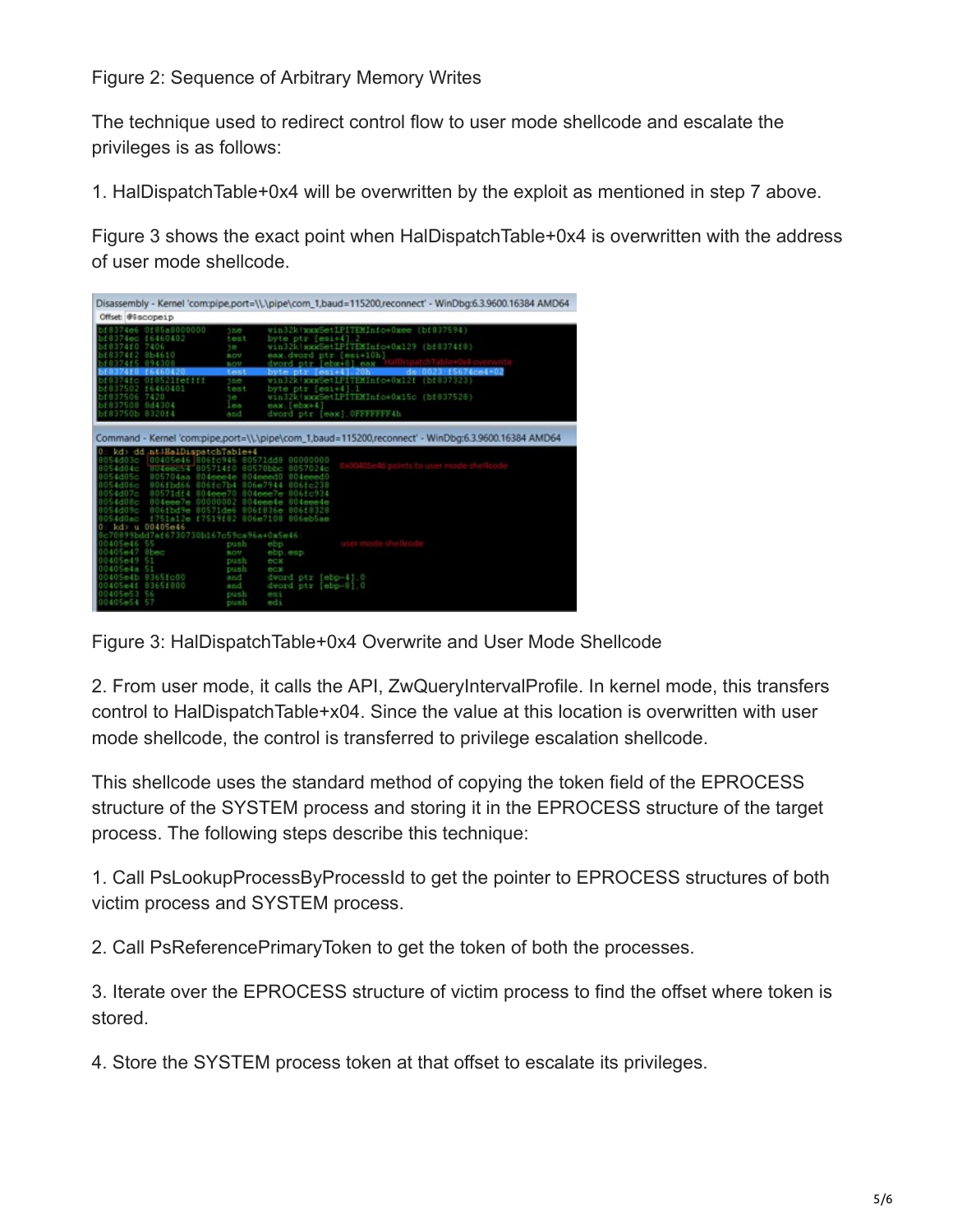Figure 2: Sequence of Arbitrary Memory Writes

The technique used to redirect control flow to user mode shellcode and escalate the privileges is as follows:

1. HalDispatchTable+0x4 will be overwritten by the exploit as mentioned in step 7 above.

Figure 3 shows the exact point when HalDispatchTable+0x4 is overwritten with the address of user mode shellcode.

|                                                                                                                                                                                                                                                           |                                                      |                                                                      | Disassembly - Kernel 'com:pipe.port=\\.\pipe\com_1,baud=115200,reconnect' - WinDbg:6.3.9600.16384 AMD64                                                                                                                                                                      |  |  |  |
|-----------------------------------------------------------------------------------------------------------------------------------------------------------------------------------------------------------------------------------------------------------|------------------------------------------------------|----------------------------------------------------------------------|------------------------------------------------------------------------------------------------------------------------------------------------------------------------------------------------------------------------------------------------------------------------------|--|--|--|
| Offset: @Sscopeip                                                                                                                                                                                                                                         |                                                      |                                                                      |                                                                                                                                                                                                                                                                              |  |  |  |
| 4 F D<br>7406<br>ミドワ                                                                                                                                                                                                                                      | 0f85a8000000<br>£6460402<br>854610<br>etttt<br>60401 | <b>SEC</b><br>test<br>5e<br>aov<br>BOV<br>test<br><b>JDE</b><br>test | win32k!wxxSetLPITEMInfo+0xee (bf837594)<br>byte ptr [esi+4]<br>win32k xxxSetLPITEMInfo+0x129 (bf8374f8)<br>eax dword ptr [esi+10h]<br>dword ptr [ebx48] eax<br>ds:0023:f5674ce4=02<br>bute ptr [esi+4] 20h<br>win32k WxxSetLPITEMInfo+0x12f (bf837323)<br>byte ptr [esi+4].] |  |  |  |
| 506<br>7420                                                                                                                                                                                                                                               |                                                      | je.                                                                  | win32k   xxxSetLPITEMInfo+0x15c (bf837528)                                                                                                                                                                                                                                   |  |  |  |
| 7508<br>844<br>bf83750b 8320f4                                                                                                                                                                                                                            | 304                                                  | les<br>and                                                           | eax. [ebx+4]<br>dword ptr [eag] OFFFFFFF6h                                                                                                                                                                                                                                   |  |  |  |
| Command - Kernel 'com:pipe.port=\\.\pipe\com_1,baud=115200,reconnect' - WinDbg:6.3.9600.16384 AMD64<br>kd> dd ntiHaiDispatchTable+4<br>00405<br>4d03c<br>00000000<br>80571448<br>d06e<br>4d07c<br>4d08c<br>4d09c<br>806eb5ae<br>806e7108<br>D0405e46<br>u |                                                      |                                                                      |                                                                                                                                                                                                                                                                              |  |  |  |
| $-46$                                                                                                                                                                                                                                                     | dd7af6730730b167c59ca96a+0x5e46                      | push                                                                 | ebp                                                                                                                                                                                                                                                                          |  |  |  |
|                                                                                                                                                                                                                                                           | <b>Blower</b>                                        | nov                                                                  | ebp.esp                                                                                                                                                                                                                                                                      |  |  |  |
|                                                                                                                                                                                                                                                           |                                                      | push                                                                 | ecx                                                                                                                                                                                                                                                                          |  |  |  |
|                                                                                                                                                                                                                                                           | 8365fc00                                             | push<br>and                                                          | ecx<br>dword ptr [ebp-4].0                                                                                                                                                                                                                                                   |  |  |  |
|                                                                                                                                                                                                                                                           | B365f800                                             | and                                                                  | $[ebo-8]$ . $0$<br>dword ptr                                                                                                                                                                                                                                                 |  |  |  |
| 1405e53                                                                                                                                                                                                                                                   |                                                      | push                                                                 | es:                                                                                                                                                                                                                                                                          |  |  |  |
| 00405e54 57                                                                                                                                                                                                                                               |                                                      | push                                                                 | edi                                                                                                                                                                                                                                                                          |  |  |  |

Figure 3: HalDispatchTable+0x4 Overwrite and User Mode Shellcode

2. From user mode, it calls the API, ZwQueryIntervalProfile. In kernel mode, this transfers control to HalDispatchTable+x04. Since the value at this location is overwritten with user mode shellcode, the control is transferred to privilege escalation shellcode.

This shellcode uses the standard method of copying the token field of the EPROCESS structure of the SYSTEM process and storing it in the EPROCESS structure of the target process. The following steps describe this technique:

1. Call PsLookupProcessByProcessId to get the pointer to EPROCESS structures of both victim process and SYSTEM process.

2. Call PsReferencePrimaryToken to get the token of both the processes.

3. Iterate over the EPROCESS structure of victim process to find the offset where token is stored.

4. Store the SYSTEM process token at that offset to escalate its privileges.